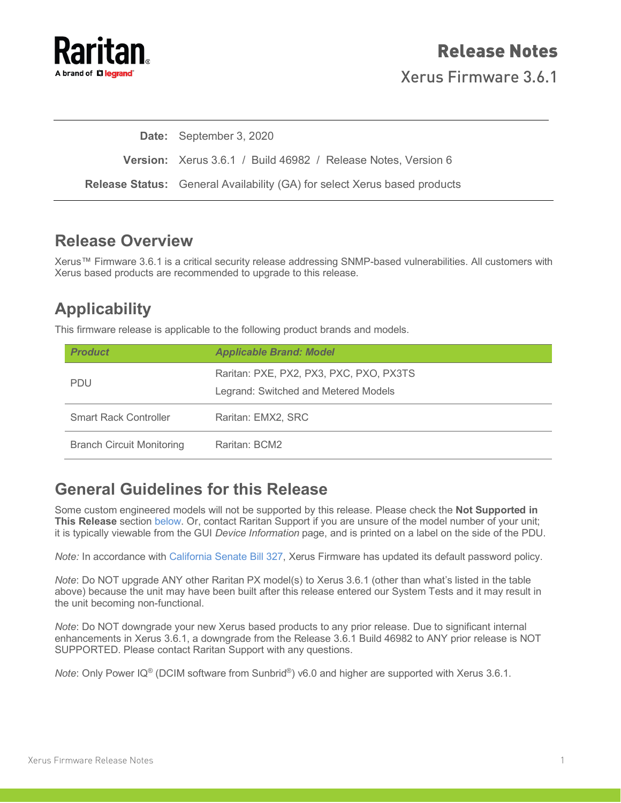

Xerus Firmware 3.6.1

**Date:** September 3, 2020

**Version:** Xerus 3.6.1 / Build 46982 / Release Notes, Version 6

**Release Status:** General Availability (GA) for select Xerus based products

### **Release Overview**

Xerus™ Firmware 3.6.1 is a critical security release addressing SNMP-based vulnerabilities. All customers with Xerus based products are recommended to upgrade to this release.

# **Applicability**

This firmware release is applicable to the following product brands and models.

| <b>Product</b>                   | <b>Applicable Brand: Model</b>                                                  |
|----------------------------------|---------------------------------------------------------------------------------|
| <b>PDU</b>                       | Raritan: PXE, PX2, PX3, PXC, PXO, PX3TS<br>Legrand: Switched and Metered Models |
| <b>Smart Rack Controller</b>     | Raritan: EMX2, SRC                                                              |
| <b>Branch Circuit Monitoring</b> | Raritan: BCM2                                                                   |

### **General Guidelines for this Release**

Some custom engineered models will not be supported by this release. Please check the **Not Supported in This Release** section [below.](#page-1-0) Or, contact Raritan Support if you are unsure of the model number of your unit; it is typically viewable from the GUI *Device Information* page, and is printed on a label on the side of the PDU.

*Note:* In accordance with [California Senate Bill 327,](http://cdn.raritan.com/download/px3/version-3.6.0/SB-327-RequiredChangesForPDUs-Raritan.pdf) Xerus Firmware has updated its default password policy.

*Note*: Do NOT upgrade ANY other Raritan PX model(s) to Xerus 3.6.1 (other than what's listed in the table above) because the unit may have been built after this release entered our System Tests and it may result in the unit becoming non-functional.

*Note*: Do NOT downgrade your new Xerus based products to any prior release. Due to significant internal enhancements in Xerus 3.6.1, a downgrade from the Release 3.6.1 Build 46982 to ANY prior release is NOT SUPPORTED. Please contact Raritan Support with any questions.

*Note*: Only Power IQ<sup>®</sup> (DCIM software from Sunbrid<sup>®</sup>) v6.0 and higher are supported with Xerus 3.6.1.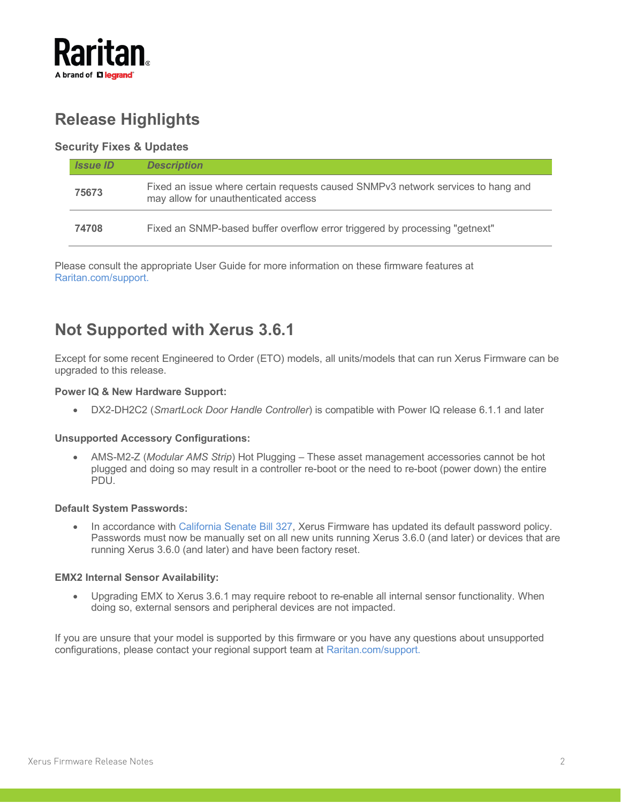

# **Release Highlights**

### <span id="page-1-0"></span>**Security Fixes & Updates**

| <b>Issue ID</b> | <b>Description</b>                                                                                                       |
|-----------------|--------------------------------------------------------------------------------------------------------------------------|
| 75673           | Fixed an issue where certain requests caused SNMPv3 network services to hang and<br>may allow for unauthenticated access |
| 74708           | Fixed an SNMP-based buffer overflow error triggered by processing "getnext"                                              |

Please consult the appropriate User Guide for more information on these firmware features at [Raritan.com/support.](https://www.raritan.com/support)

# **Not Supported with Xerus 3.6.1**

Except for some recent Engineered to Order (ETO) models, all units/models that can run Xerus Firmware can be upgraded to this release.

#### **Power IQ & New Hardware Support:**

• DX2-DH2C2 (*SmartLock Door Handle Controller*) is compatible with Power IQ release 6.1.1 and later

#### **Unsupported Accessory Configurations:**

• AMS-M2-Z (*Modular AMS Strip*) Hot Plugging – These asset management accessories cannot be hot plugged and doing so may result in a controller re-boot or the need to re-boot (power down) the entire PDU.

#### **Default System Passwords:**

• In accordance with [California Senate Bill 327,](http://cdn.raritan.com/download/px3/version-3.6.0/SB-327-RequiredChangesForPDUs-Raritan.pdf) Xerus Firmware has updated its default password policy. Passwords must now be manually set on all new units running Xerus 3.6.0 (and later) or devices that are running Xerus 3.6.0 (and later) and have been factory reset.

#### **EMX2 Internal Sensor Availability:**

• Upgrading EMX to Xerus 3.6.1 may require reboot to re-enable all internal sensor functionality. When doing so, external sensors and peripheral devices are not impacted.

If you are unsure that your model is supported by this firmware or you have any questions about unsupported configurations, please contact your regional support team at [Raritan.com/support.](https://www.raritan.com/support)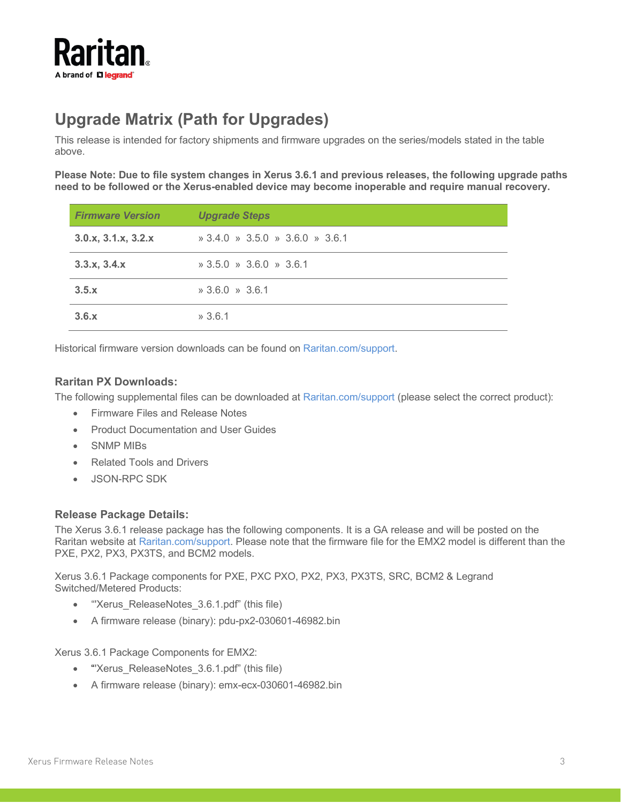

# **Upgrade Matrix (Path for Upgrades)**

This release is intended for factory shipments and firmware upgrades on the series/models stated in the table above.

**Please Note: Due to file system changes in Xerus 3.6.1 and previous releases, the following upgrade paths need to be followed or the Xerus-enabled device may become inoperable and require manual recovery.**

| <b>Firmware Version</b> | <b>Upgrade Steps</b>                                                            |
|-------------------------|---------------------------------------------------------------------------------|
| 3.0.x, 3.1.x, 3.2.x     | $\frac{1}{2}$ 3.4.0 $\frac{1}{2}$ 3.5.0 $\frac{1}{2}$ 3.6.0 $\frac{1}{2}$ 3.6.1 |
| 3.3.x, 3.4.x            | $\frac{1}{2}$ 3.5.0 $\frac{1}{2}$ 3.6.0 $\frac{1}{2}$ 3.6.1                     |
| 3.5.x                   | $*3.6.0 * 3.6.1$                                                                |
| 3.6.x                   | $*3.6.1$                                                                        |

Historical firmware version downloads can be found on [Raritan.com/support.](https://www.raritan.com/support)

### **Raritan PX Downloads:**

The following supplemental files can be downloaded at [Raritan.com/support](https://www.raritan.com/support) (please select the correct product):

- Firmware Files and Release Notes
- Product Documentation and User Guides
- SNMP MIBs
- Related Tools and Drivers
- JSON-RPC SDK

#### **Release Package Details:**

The Xerus 3.6.1 release package has the following components. It is a GA release and will be posted on the Raritan website at [Raritan.com/support.](https://www.raritan.com/support) Please note that the firmware file for the EMX2 model is different than the PXE, PX2, PX3, PX3TS, and BCM2 models.

Xerus 3.6.1 Package components for PXE, PXC PXO, PX2, PX3, PX3TS, SRC, BCM2 & Legrand Switched/Metered Products:

- "'Xerus\_ReleaseNotes\_3.6.1.pdf" (this file)
- A firmware release (binary): pdu-px2-030601-46982.bin

Xerus 3.6.1 Package Components for EMX2:

- "Xerus\_ReleaseNotes\_3.6.1.pdf" (this file)
- A firmware release (binary): emx-ecx-030601-46982.bin